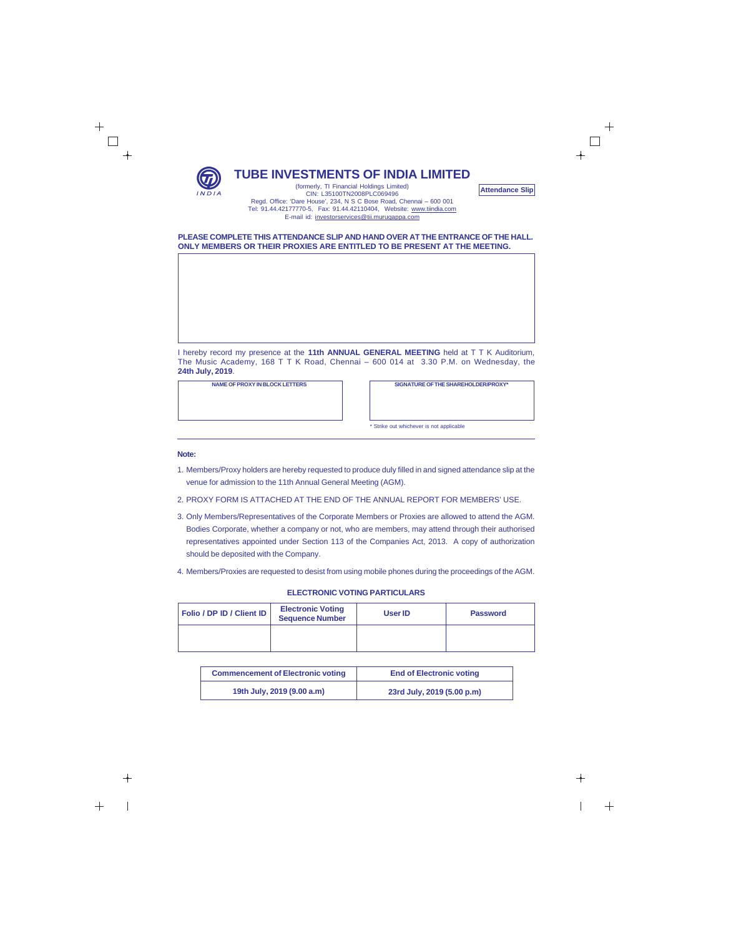

┿

**TUBE INVESTMENTS OF INDIA LIMITED**

**Attendance Slip**

(formerly, TI Financial Holdings Limited) CIN: L35100TN2008PLC069496 Regd. Office: 'Dare House', 234, N S C Bose Road, Chennai – 600 001 Tel: 91.44.42177770-5, Fax: 91.44.42110404, Website: www.tiindia.com E-mail id: investorservices@tii.murugappa.com

## **PLEASE COMPLETE THIS ATTENDANCE SLIP AND HAND OVER AT THE ENTRANCE OF THE HALL. ONLY MEMBERS OR THEIR PROXIES ARE ENTITLED TO BE PRESENT AT THE MEETING.**

I hereby record my presence at the **11th ANNUAL GENERAL MEETING** held at T T K Auditorium, The Music Academy, 168 T T K Road, Chennai – 600 014 at 3.30 P.M. on Wednesday, the **24th July, 2019**.

**NAME OF PROXY IN BLOCK LETTERS SIGNATURE OF THE SHAREHOLDER/PROXY\***

\* Strike out whichever is not applicable

## **Note:**

- 1. Members/Proxy holders are hereby requested to produce duly filled in and signed attendance slip at the venue for admission to the 11th Annual General Meeting (AGM).
- 2. PROXY FORM IS ATTACHED AT THE END OF THE ANNUAL REPORT FOR MEMBERS' USE.
- 3. Only Members/Representatives of the Corporate Members or Proxies are allowed to attend the AGM. Bodies Corporate, whether a company or not, who are members, may attend through their authorised representatives appointed under Section 113 of the Companies Act, 2013. A copy of authorization should be deposited with the Company.
- 4. Members/Proxies are requested to desist from using mobile phones during the proceedings of the AGM.

## **ELECTRONIC VOTING PARTICULARS**

| Folio / DP ID / Client ID | <b>Electronic Voting</b><br><b>Sequence Number</b> | User <b>ID</b> | <b>Password</b> |
|---------------------------|----------------------------------------------------|----------------|-----------------|
|                           |                                                    |                |                 |

| <b>Commencement of Electronic voting</b> | <b>End of Electronic voting</b> |
|------------------------------------------|---------------------------------|
| 19th July, 2019 (9.00 a.m)               | 23rd July, 2019 (5.00 p.m)      |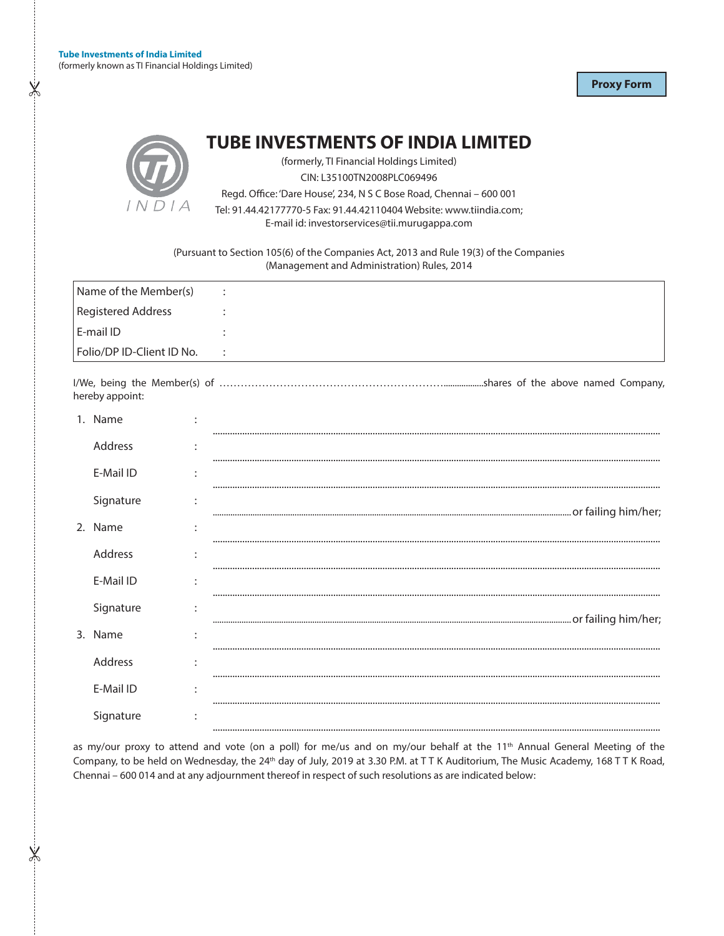$X$ 

X

**Proxy Form** 



**TUBE INVESTMENTS OF INDIA LIMITED** 

(formerly, TI Financial Holdings Limited)

CIN: L35100TN2008PLC069496

Regd. Office: 'Dare House', 234, N S C Bose Road, Chennai - 600 001

Tel: 91.44.42177770-5 Fax: 91.44.42110404 Website: www.tiindia.com;

E-mail id: investorservices@tii.murugappa.com

(Pursuant to Section 105(6) of the Companies Act, 2013 and Rule 19(3) of the Companies (Management and Administration) Rules, 2014

| Name of the Member(s)     | $\sim$ 1.                   |
|---------------------------|-----------------------------|
| Registered Address        |                             |
| l E-mail ID               |                             |
| Folio/DP ID-Client ID No. | $\sim$ $\sim$ $\sim$ $\sim$ |
| hereby appoint:           |                             |

| 1. Name   | ٠ |  |
|-----------|---|--|
| Address   | ٠ |  |
|           |   |  |
| E-Mail ID | ٠ |  |
| Signature |   |  |
| 2. Name   |   |  |
| Address   |   |  |
|           |   |  |
| E-Mail ID |   |  |
| Signature |   |  |
| 3. Name   | ٠ |  |
| Address   | ٠ |  |
|           |   |  |
| E-Mail ID |   |  |
| Signature |   |  |
|           |   |  |

as my/our proxy to attend and vote (on a poll) for me/us and on my/our behalf at the 11<sup>th</sup> Annual General Meeting of the Company, to be held on Wednesday, the 24th day of July, 2019 at 3.30 P.M. at TTK Auditorium, The Music Academy, 168 TTK Road, Chennai - 600 014 and at any adjournment thereof in respect of such resolutions as are indicated below: